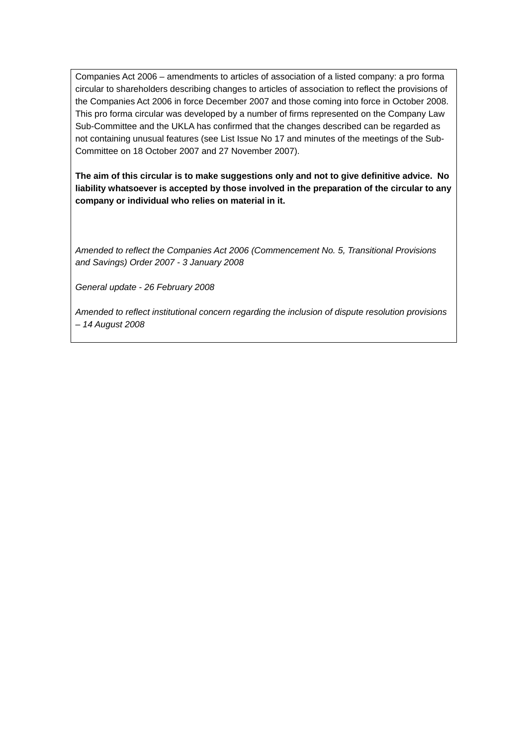Companies Act 2006 – amendments to articles of association of a listed company: a pro forma circular to shareholders describing changes to articles of association to reflect the provisions of the Companies Act 2006 in force December 2007 and those coming into force in October 2008. This pro forma circular was developed by a number of firms represented on the Company Law Sub-Committee and the UKLA has confirmed that the changes described can be regarded as not containing unusual features (see List Issue No 17 and minutes of the meetings of the Sub-Committee on 18 October 2007 and 27 November 2007).

**The aim of this circular is to make suggestions only and not to give definitive advice. No liability whatsoever is accepted by those involved in the preparation of the circular to any company or individual who relies on material in it.** 

*Amended to reflect the Companies Act 2006 (Commencement No. 5, Transitional Provisions and Savings) Order 2007 - 3 January 2008* 

*General update - 26 February 2008* 

*Amended to reflect institutional concern regarding the inclusion of dispute resolution provisions – 14 August 2008*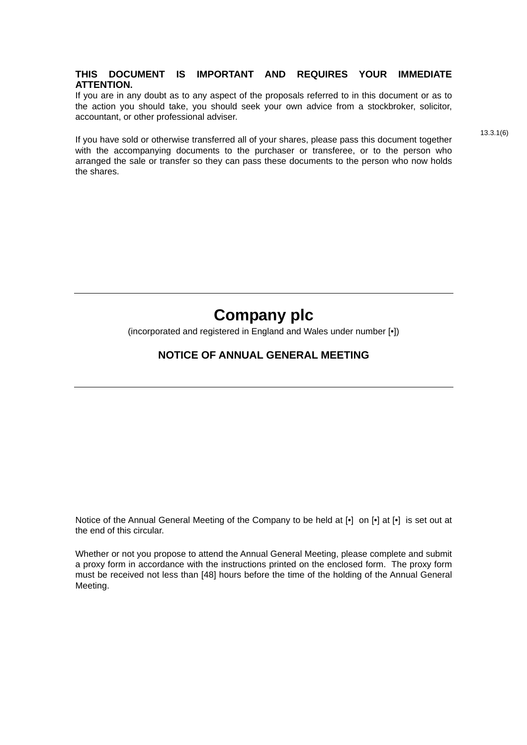#### **THIS DOCUMENT IS IMPORTANT AND REQUIRES YOUR IMMEDIATE ATTENTION.**

If you are in any doubt as to any aspect of the proposals referred to in this document or as to the action you should take, you should seek your own advice from a stockbroker, solicitor, accountant, or other professional adviser.

If you have sold or otherwise transferred all of your shares, please pass this document together with the accompanying documents to the purchaser or transferee, or to the person who arranged the sale or transfer so they can pass these documents to the person who now holds the shares.

13.3.1(6)

# **Company plc**

(incorporated and registered in England and Wales under number [•])

# **NOTICE OF ANNUAL GENERAL MEETING**

Notice of the Annual General Meeting of the Company to be held at [•] on [•] at [•] is set out at the end of this circular.

Whether or not you propose to attend the Annual General Meeting, please complete and submit a proxy form in accordance with the instructions printed on the enclosed form. The proxy form must be received not less than [48] hours before the time of the holding of the Annual General Meeting.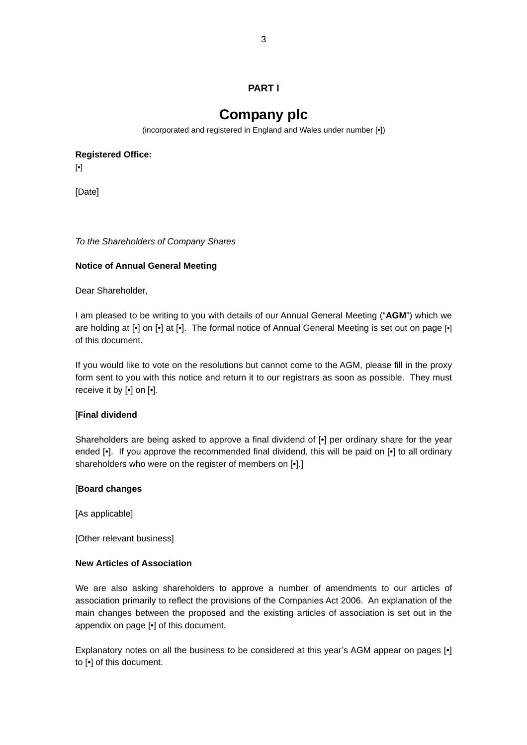# **PART I**

# **Company plc**

(incorporated and registered in England and Wales under number [•])

**Registered Office:**

[•]

[Date]

*To the Shareholders of Company Shares* 

#### **Notice of Annual General Meeting**

Dear Shareholder,

I am pleased to be writing to you with details of our Annual General Meeting ("**AGM**") which we are holding at [•] on [•] at [•]. The formal notice of Annual General Meeting is set out on page [•] of this document.

If you would like to vote on the resolutions but cannot come to the AGM, please fill in the proxy form sent to you with this notice and return it to our registrars as soon as possible. They must receive it by [•] on [•].

#### [**Final dividend**

Shareholders are being asked to approve a final dividend of  $\lceil \cdot \rceil$  per ordinary share for the year ended [•]. If you approve the recommended final dividend, this will be paid on [•] to all ordinary shareholders who were on the register of members on [•].]

#### [**Board changes**

[As applicable]

[Other relevant business]

#### **New Articles of Association**

We are also asking shareholders to approve a number of amendments to our articles of association primarily to reflect the provisions of the Companies Act 2006. An explanation of the main changes between the proposed and the existing articles of association is set out in the appendix on page [•] of this document.

Explanatory notes on all the business to be considered at this year's AGM appear on pages [•] to [•] of this document.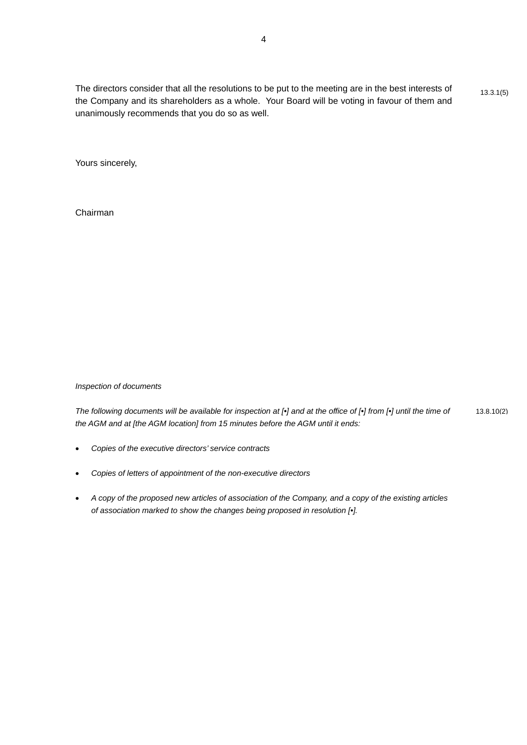The directors consider that all the resolutions to be put to the meeting are in the best interests of  $13.3.1(5)$ the Company and its shareholders as a whole. Your Board will be voting in favour of them and unanimously recommends that you do so as well.

Yours sincerely,

Chairman

*Inspection of documents* 

*The following documents will be available for inspection at [•] and at the office of [•] from [•] until the time of* 13.8.10(2) *the AGM and at [the AGM location] from 15 minutes before the AGM until it ends:* 

- *Copies of the executive directors' service contracts*
- *Copies of letters of appointment of the non-executive directors*
- *A copy of the proposed new articles of association of the Company, and a copy of the existing articles of association marked to show the changes being proposed in resolution [•].*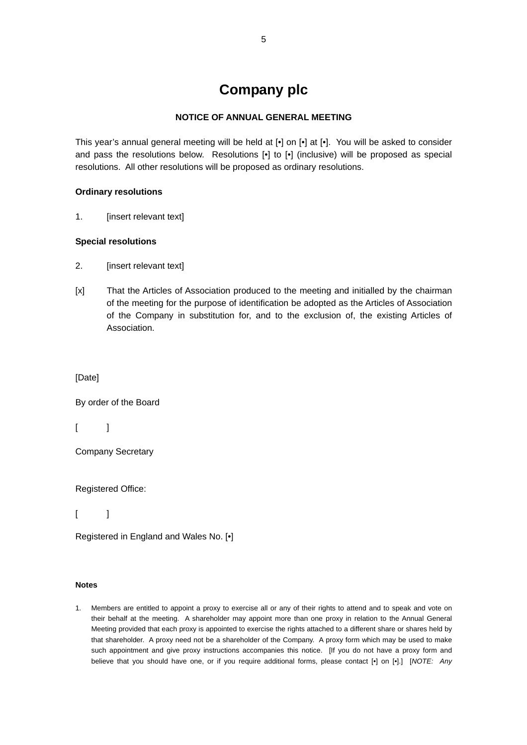# **Company plc**

#### **NOTICE OF ANNUAL GENERAL MEETING**

This year's annual general meeting will be held at [•] on [•] at [•]. You will be asked to consider and pass the resolutions below. Resolutions [•] to [•] (inclusive) will be proposed as special resolutions. All other resolutions will be proposed as ordinary resolutions.

#### **Ordinary resolutions**

1. [insert relevant text]

# **Special resolutions**

- 2. [insert relevant text]
- [x] That the Articles of Association produced to the meeting and initialled by the chairman of the meeting for the purpose of identification be adopted as the Articles of Association of the Company in substitution for, and to the exclusion of, the existing Articles of Association.

[Date]

By order of the Board

 $\lceil$   $\lceil$ 

Company Secretary

Registered Office:

 $\lceil$   $\lceil$ 

Registered in England and Wales No. [•]

#### **Notes**

1. Members are entitled to appoint a proxy to exercise all or any of their rights to attend and to speak and vote on their behalf at the meeting. A shareholder may appoint more than one proxy in relation to the Annual General Meeting provided that each proxy is appointed to exercise the rights attached to a different share or shares held by that shareholder. A proxy need not be a shareholder of the Company. A proxy form which may be used to make such appointment and give proxy instructions accompanies this notice. [If you do not have a proxy form and believe that you should have one, or if you require additional forms, please contact [•] on [•].] [*NOTE: Any*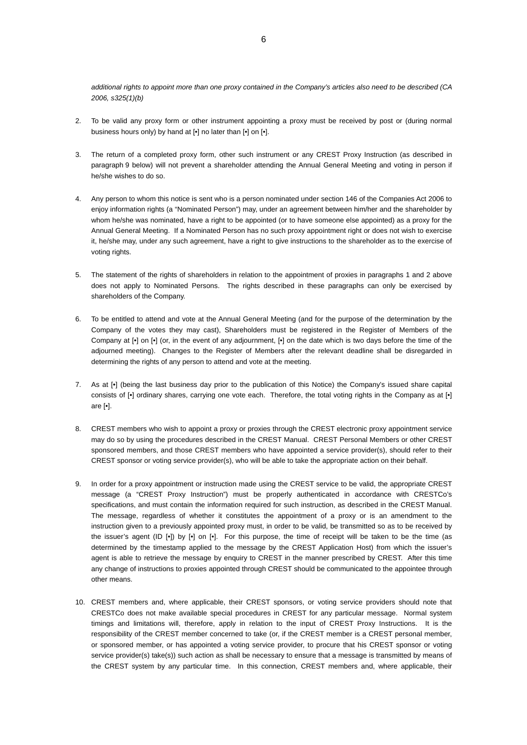*additional rights to appoint more than one proxy contained in the Company's articles also need to be described (CA 2006, s325(1)(b)*

- 2. To be valid any proxy form or other instrument appointing a proxy must be received by post or (during normal business hours only) by hand at  $\left[\bullet\right]$  no later than  $\left[\bullet\right]$  on  $\left[\bullet\right]$ .
- 3. The return of a completed proxy form, other such instrument or any CREST Proxy Instruction (as described in paragraph 9 below) will not prevent a shareholder attending the Annual General Meeting and voting in person if he/she wishes to do so.
- 4. Any person to whom this notice is sent who is a person nominated under section 146 of the Companies Act 2006 to enjoy information rights (a "Nominated Person") may, under an agreement between him/her and the shareholder by whom he/she was nominated, have a right to be appointed (or to have someone else appointed) as a proxy for the Annual General Meeting. If a Nominated Person has no such proxy appointment right or does not wish to exercise it, he/she may, under any such agreement, have a right to give instructions to the shareholder as to the exercise of voting rights.
- 5. The statement of the rights of shareholders in relation to the appointment of proxies in paragraphs 1 and 2 above does not apply to Nominated Persons. The rights described in these paragraphs can only be exercised by shareholders of the Company.
- 6. To be entitled to attend and vote at the Annual General Meeting (and for the purpose of the determination by the Company of the votes they may cast), Shareholders must be registered in the Register of Members of the Company at [•] on [•] (or, in the event of any adjournment, [•] on the date which is two days before the time of the adjourned meeting). Changes to the Register of Members after the relevant deadline shall be disregarded in determining the rights of any person to attend and vote at the meeting.
- 7. As at [•] (being the last business day prior to the publication of this Notice) the Company's issued share capital consists of [•] ordinary shares, carrying one vote each. Therefore, the total voting rights in the Company as at [•] are [•].
- 8. CREST members who wish to appoint a proxy or proxies through the CREST electronic proxy appointment service may do so by using the procedures described in the CREST Manual. CREST Personal Members or other CREST sponsored members, and those CREST members who have appointed a service provider(s), should refer to their CREST sponsor or voting service provider(s), who will be able to take the appropriate action on their behalf.
- 9. In order for a proxy appointment or instruction made using the CREST service to be valid, the appropriate CREST message (a "CREST Proxy Instruction") must be properly authenticated in accordance with CRESTCo's specifications, and must contain the information required for such instruction, as described in the CREST Manual. The message, regardless of whether it constitutes the appointment of a proxy or is an amendment to the instruction given to a previously appointed proxy must, in order to be valid, be transmitted so as to be received by the issuer's agent (ID [•]) by [•] on [•]. For this purpose, the time of receipt will be taken to be the time (as determined by the timestamp applied to the message by the CREST Application Host) from which the issuer's agent is able to retrieve the message by enquiry to CREST in the manner prescribed by CREST. After this time any change of instructions to proxies appointed through CREST should be communicated to the appointee through other means.
- 10. CREST members and, where applicable, their CREST sponsors, or voting service providers should note that CRESTCo does not make available special procedures in CREST for any particular message. Normal system timings and limitations will, therefore, apply in relation to the input of CREST Proxy Instructions. It is the responsibility of the CREST member concerned to take (or, if the CREST member is a CREST personal member, or sponsored member, or has appointed a voting service provider, to procure that his CREST sponsor or voting service provider(s) take(s)) such action as shall be necessary to ensure that a message is transmitted by means of the CREST system by any particular time. In this connection, CREST members and, where applicable, their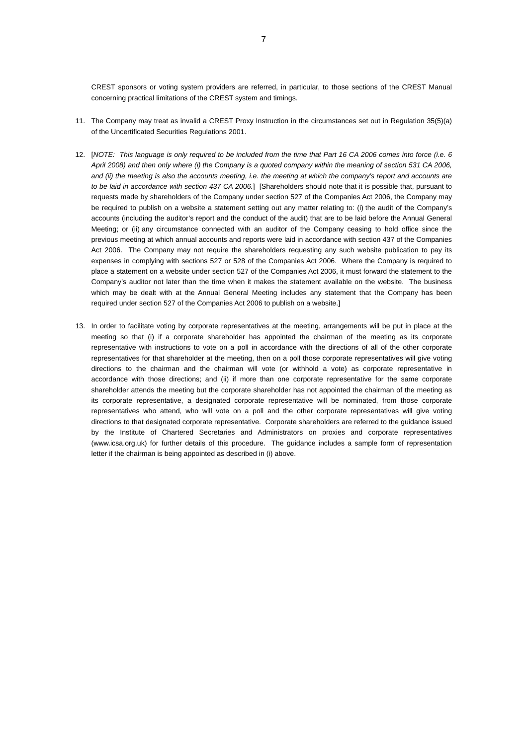CREST sponsors or voting system providers are referred, in particular, to those sections of the CREST Manual concerning practical limitations of the CREST system and timings.

- 11. The Company may treat as invalid a CREST Proxy Instruction in the circumstances set out in Regulation 35(5)(a) of the Uncertificated Securities Regulations 2001.
- 12. [*NOTE: This language is only required to be included from the time that Part 16 CA 2006 comes into force (i.e. 6 April 2008) and then only where (i) the Company is a quoted company within the meaning of section 531 CA 2006, and (ii) the meeting is also the accounts meeting, i.e. the meeting at which the company's report and accounts are to be laid in accordance with section 437 CA 2006.*] [Shareholders should note that it is possible that, pursuant to requests made by shareholders of the Company under section 527 of the Companies Act 2006, the Company may be required to publish on a website a statement setting out any matter relating to: (i) the audit of the Company's accounts (including the auditor's report and the conduct of the audit) that are to be laid before the Annual General Meeting; or (ii) any circumstance connected with an auditor of the Company ceasing to hold office since the previous meeting at which annual accounts and reports were laid in accordance with section 437 of the Companies Act 2006. The Company may not require the shareholders requesting any such website publication to pay its expenses in complying with sections 527 or 528 of the Companies Act 2006. Where the Company is required to place a statement on a website under section 527 of the Companies Act 2006, it must forward the statement to the Company's auditor not later than the time when it makes the statement available on the website. The business which may be dealt with at the Annual General Meeting includes any statement that the Company has been required under section 527 of the Companies Act 2006 to publish on a website.]
- 13. In order to facilitate voting by corporate representatives at the meeting, arrangements will be put in place at the meeting so that (i) if a corporate shareholder has appointed the chairman of the meeting as its corporate representative with instructions to vote on a poll in accordance with the directions of all of the other corporate representatives for that shareholder at the meeting, then on a poll those corporate representatives will give voting directions to the chairman and the chairman will vote (or withhold a vote) as corporate representative in accordance with those directions; and (ii) if more than one corporate representative for the same corporate shareholder attends the meeting but the corporate shareholder has not appointed the chairman of the meeting as its corporate representative, a designated corporate representative will be nominated, from those corporate representatives who attend, who will vote on a poll and the other corporate representatives will give voting directions to that designated corporate representative. Corporate shareholders are referred to the guidance issued by the Institute of Chartered Secretaries and Administrators on proxies and corporate representatives (www.icsa.org.uk) for further details of this procedure. The guidance includes a sample form of representation letter if the chairman is being appointed as described in (i) above.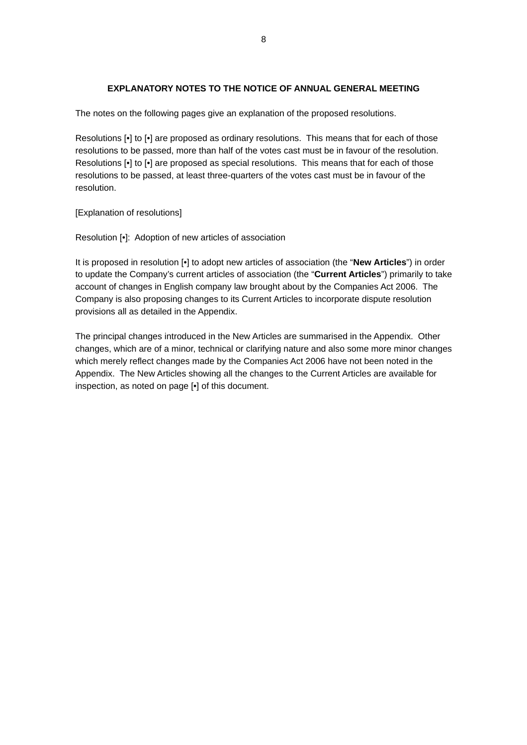#### **EXPLANATORY NOTES TO THE NOTICE OF ANNUAL GENERAL MEETING**

The notes on the following pages give an explanation of the proposed resolutions.

Resolutions [•] to [•] are proposed as ordinary resolutions. This means that for each of those resolutions to be passed, more than half of the votes cast must be in favour of the resolution. Resolutions [•] to [•] are proposed as special resolutions. This means that for each of those resolutions to be passed, at least three-quarters of the votes cast must be in favour of the resolution.

[Explanation of resolutions]

Resolution [•]: Adoption of new articles of association

It is proposed in resolution [•] to adopt new articles of association (the "**New Articles**") in order to update the Company's current articles of association (the "**Current Articles**") primarily to take account of changes in English company law brought about by the Companies Act 2006. The Company is also proposing changes to its Current Articles to incorporate dispute resolution provisions all as detailed in the Appendix.

The principal changes introduced in the New Articles are summarised in the Appendix. Other changes, which are of a minor, technical or clarifying nature and also some more minor changes which merely reflect changes made by the Companies Act 2006 have not been noted in the Appendix. The New Articles showing all the changes to the Current Articles are available for inspection, as noted on page [•] of this document.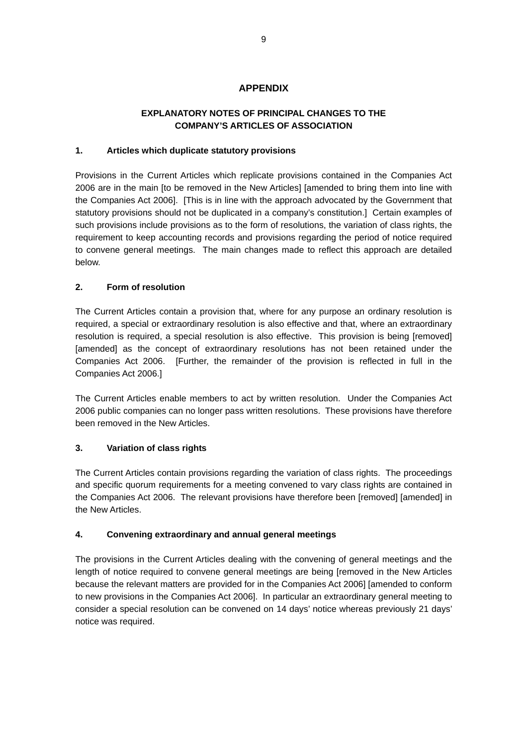# **APPENDIX**

# **EXPLANATORY NOTES OF PRINCIPAL CHANGES TO THE COMPANY'S ARTICLES OF ASSOCIATION**

#### **1. Articles which duplicate statutory provisions**

Provisions in the Current Articles which replicate provisions contained in the Companies Act 2006 are in the main [to be removed in the New Articles] [amended to bring them into line with the Companies Act 2006]. [This is in line with the approach advocated by the Government that statutory provisions should not be duplicated in a company's constitution.] Certain examples of such provisions include provisions as to the form of resolutions, the variation of class rights, the requirement to keep accounting records and provisions regarding the period of notice required to convene general meetings. The main changes made to reflect this approach are detailed below.

#### **2. Form of resolution**

The Current Articles contain a provision that, where for any purpose an ordinary resolution is required, a special or extraordinary resolution is also effective and that, where an extraordinary resolution is required, a special resolution is also effective. This provision is being [removed] [amended] as the concept of extraordinary resolutions has not been retained under the Companies Act 2006. [Further, the remainder of the provision is reflected in full in the Companies Act 2006.]

The Current Articles enable members to act by written resolution. Under the Companies Act 2006 public companies can no longer pass written resolutions. These provisions have therefore been removed in the New Articles.

#### **3. Variation of class rights**

The Current Articles contain provisions regarding the variation of class rights. The proceedings and specific quorum requirements for a meeting convened to vary class rights are contained in the Companies Act 2006. The relevant provisions have therefore been [removed] [amended] in the New Articles.

#### **4. Convening extraordinary and annual general meetings**

The provisions in the Current Articles dealing with the convening of general meetings and the length of notice required to convene general meetings are being [removed in the New Articles because the relevant matters are provided for in the Companies Act 2006] [amended to conform to new provisions in the Companies Act 2006]. In particular an extraordinary general meeting to consider a special resolution can be convened on 14 days' notice whereas previously 21 days' notice was required.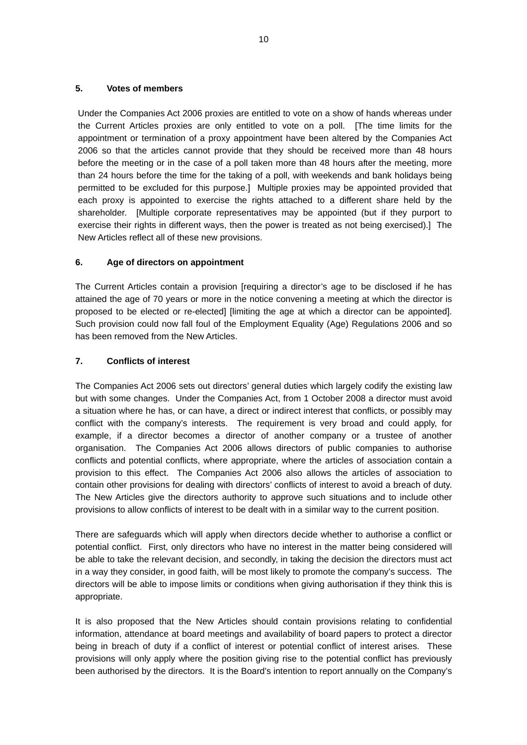#### **5. Votes of members**

Under the Companies Act 2006 proxies are entitled to vote on a show of hands whereas under the Current Articles proxies are only entitled to vote on a poll. [The time limits for the appointment or termination of a proxy appointment have been altered by the Companies Act 2006 so that the articles cannot provide that they should be received more than 48 hours before the meeting or in the case of a poll taken more than 48 hours after the meeting, more than 24 hours before the time for the taking of a poll, with weekends and bank holidays being permitted to be excluded for this purpose.] Multiple proxies may be appointed provided that each proxy is appointed to exercise the rights attached to a different share held by the shareholder. [Multiple corporate representatives may be appointed (but if they purport to exercise their rights in different ways, then the power is treated as not being exercised).] The New Articles reflect all of these new provisions.

#### **6. Age of directors on appointment**

The Current Articles contain a provision [requiring a director's age to be disclosed if he has attained the age of 70 years or more in the notice convening a meeting at which the director is proposed to be elected or re-elected] [limiting the age at which a director can be appointed]. Such provision could now fall foul of the Employment Equality (Age) Regulations 2006 and so has been removed from the New Articles.

#### **7. Conflicts of interest**

The Companies Act 2006 sets out directors' general duties which largely codify the existing law but with some changes. Under the Companies Act, from 1 October 2008 a director must avoid a situation where he has, or can have, a direct or indirect interest that conflicts, or possibly may conflict with the company's interests. The requirement is very broad and could apply, for example, if a director becomes a director of another company or a trustee of another organisation. The Companies Act 2006 allows directors of public companies to authorise conflicts and potential conflicts, where appropriate, where the articles of association contain a provision to this effect. The Companies Act 2006 also allows the articles of association to contain other provisions for dealing with directors' conflicts of interest to avoid a breach of duty. The New Articles give the directors authority to approve such situations and to include other provisions to allow conflicts of interest to be dealt with in a similar way to the current position.

There are safeguards which will apply when directors decide whether to authorise a conflict or potential conflict. First, only directors who have no interest in the matter being considered will be able to take the relevant decision, and secondly, in taking the decision the directors must act in a way they consider, in good faith, will be most likely to promote the company's success. The directors will be able to impose limits or conditions when giving authorisation if they think this is appropriate.

It is also proposed that the New Articles should contain provisions relating to confidential information, attendance at board meetings and availability of board papers to protect a director being in breach of duty if a conflict of interest or potential conflict of interest arises. These provisions will only apply where the position giving rise to the potential conflict has previously been authorised by the directors. It is the Board's intention to report annually on the Company's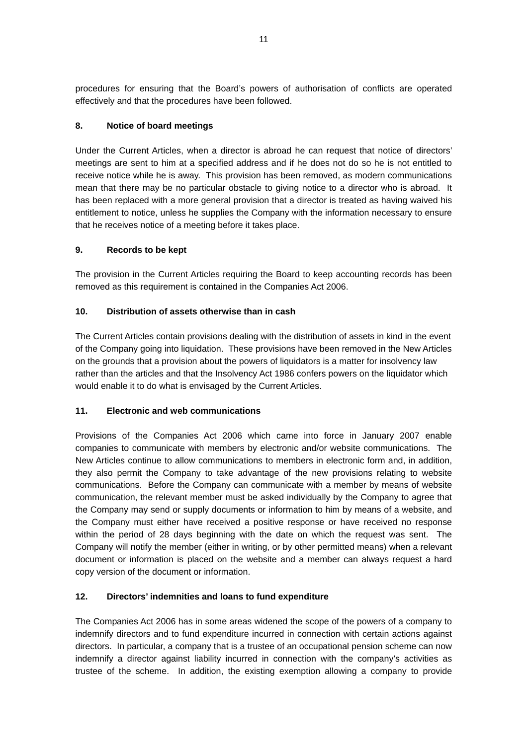procedures for ensuring that the Board's powers of authorisation of conflicts are operated effectively and that the procedures have been followed.

# **8. Notice of board meetings**

Under the Current Articles, when a director is abroad he can request that notice of directors' meetings are sent to him at a specified address and if he does not do so he is not entitled to receive notice while he is away. This provision has been removed, as modern communications mean that there may be no particular obstacle to giving notice to a director who is abroad. It has been replaced with a more general provision that a director is treated as having waived his entitlement to notice, unless he supplies the Company with the information necessary to ensure that he receives notice of a meeting before it takes place.

# **9. Records to be kept**

The provision in the Current Articles requiring the Board to keep accounting records has been removed as this requirement is contained in the Companies Act 2006.

# **10. Distribution of assets otherwise than in cash**

The Current Articles contain provisions dealing with the distribution of assets in kind in the event of the Company going into liquidation. These provisions have been removed in the New Articles on the grounds that a provision about the powers of liquidators is a matter for insolvency law rather than the articles and that the Insolvency Act 1986 confers powers on the liquidator which would enable it to do what is envisaged by the Current Articles.

# **11. Electronic and web communications**

Provisions of the Companies Act 2006 which came into force in January 2007 enable companies to communicate with members by electronic and/or website communications. The New Articles continue to allow communications to members in electronic form and, in addition, they also permit the Company to take advantage of the new provisions relating to website communications. Before the Company can communicate with a member by means of website communication, the relevant member must be asked individually by the Company to agree that the Company may send or supply documents or information to him by means of a website, and the Company must either have received a positive response or have received no response within the period of 28 days beginning with the date on which the request was sent. The Company will notify the member (either in writing, or by other permitted means) when a relevant document or information is placed on the website and a member can always request a hard copy version of the document or information.

# **12. Directors' indemnities and loans to fund expenditure**

The Companies Act 2006 has in some areas widened the scope of the powers of a company to indemnify directors and to fund expenditure incurred in connection with certain actions against directors. In particular, a company that is a trustee of an occupational pension scheme can now indemnify a director against liability incurred in connection with the company's activities as trustee of the scheme. In addition, the existing exemption allowing a company to provide